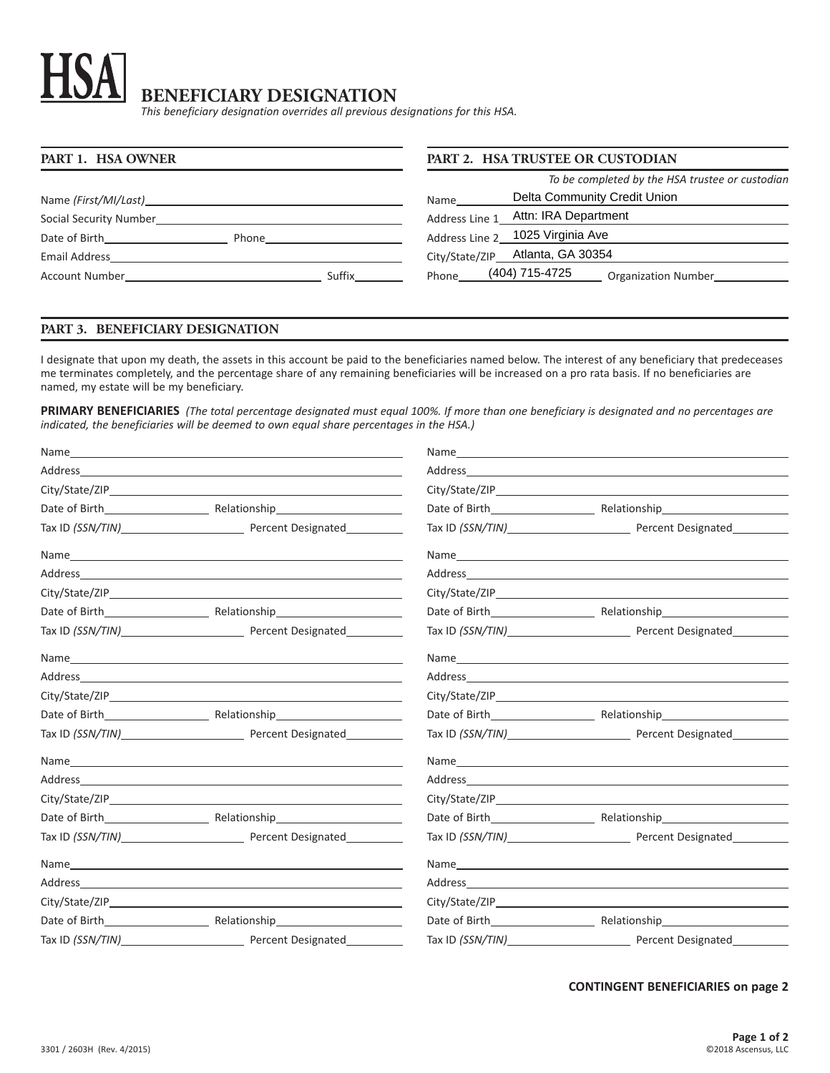# **BENEFICIARY DESIGNATION**

*This beneficiary designation overrides all previous designations for this HSA.*

| PART 1. HSA OWNER                                                                                                                                                                                                                        | PART 2. HSA TRUSTEE OR CUSTODIAN                |  |
|------------------------------------------------------------------------------------------------------------------------------------------------------------------------------------------------------------------------------------------|-------------------------------------------------|--|
|                                                                                                                                                                                                                                          | To be completed by the HSA trustee or custodian |  |
| Name (First/MI/Last)                                                                                                                                                                                                                     | Delta Community Credit Union<br>Name            |  |
| Social Security Number<br><u> 1989 - Johann Stein, mars and de Brazilian (b. 1989)</u>                                                                                                                                                   | Attn: IRA Department<br>Address Line 1          |  |
| Date of Birth<br>Phone                                                                                                                                                                                                                   | Address Line 2 1025 Virginia Ave                |  |
| Email Address                                                                                                                                                                                                                            | City/State/ZIP Atlanta, GA 30354                |  |
| Suffix<br>Account Number and the state of the state of the state of the state of the state of the state of the state of the state of the state of the state of the state of the state of the state of the state of the state of the stat | (404) 715-4725<br>Phone<br>Organization Number  |  |

# **PART 3. BENEFICIARY DESIGNATION**

I designate that upon my death, the assets in this account be paid to the beneficiaries named below. The interest of any beneficiary that predeceases me terminates completely, and the percentage share of any remaining beneficiaries will be increased on a pro rata basis. If no beneficiaries are named, my estate will be my beneficiary.

**PRIMARY BENEFICIARIES** *(The total percentage designated must equal 100%. If more than one beneficiary is designated and no percentages are indicated, the beneficiaries will be deemed to own equal share percentages in the HSA.)*

|                                     | Address and the contract of the contract of the contract of the contract of the contract of the contract of the contract of the contract of the contract of the contract of the contract of the contract of the contract of th |
|-------------------------------------|--------------------------------------------------------------------------------------------------------------------------------------------------------------------------------------------------------------------------------|
|                                     |                                                                                                                                                                                                                                |
|                                     |                                                                                                                                                                                                                                |
| Tax ID (SSN/TIN) Percent Designated | Tax ID (SSN/TIN) Percent Designated                                                                                                                                                                                            |
|                                     |                                                                                                                                                                                                                                |
|                                     |                                                                                                                                                                                                                                |
|                                     |                                                                                                                                                                                                                                |
|                                     |                                                                                                                                                                                                                                |
| Tax ID (SSN/TIN) Percent Designated |                                                                                                                                                                                                                                |
|                                     |                                                                                                                                                                                                                                |
|                                     |                                                                                                                                                                                                                                |
|                                     |                                                                                                                                                                                                                                |
|                                     |                                                                                                                                                                                                                                |
|                                     |                                                                                                                                                                                                                                |
|                                     |                                                                                                                                                                                                                                |
|                                     |                                                                                                                                                                                                                                |
|                                     |                                                                                                                                                                                                                                |
|                                     |                                                                                                                                                                                                                                |
| Tax ID (SSN/TIN) Percent Designated | Tax ID (SSN/TIN) Percent Designated                                                                                                                                                                                            |
|                                     |                                                                                                                                                                                                                                |
|                                     |                                                                                                                                                                                                                                |
|                                     |                                                                                                                                                                                                                                |
|                                     |                                                                                                                                                                                                                                |
| Tax ID (SSN/TIN) Percent Designated |                                                                                                                                                                                                                                |

# **CONTINGENT BENEFICIARIES on page 2**